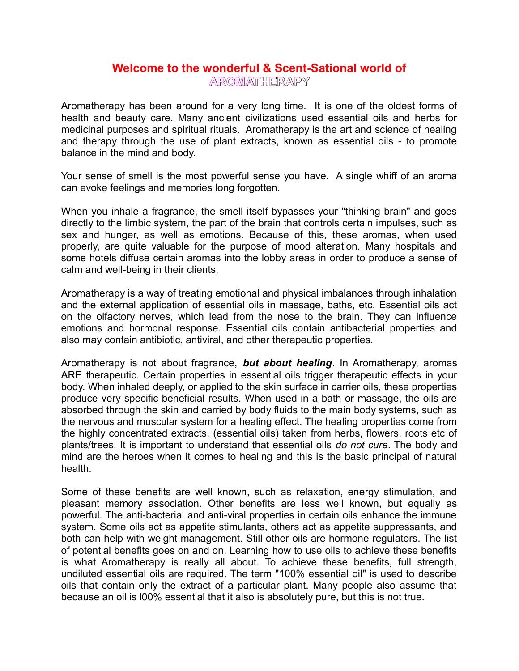### **Welcome to the wonderful & Scent-Sational world of AROMATHERAPY**

Aromatherapy has been around for a very long time. It is one of the oldest forms of health and beauty care. Many ancient civilizations used essential oils and herbs for medicinal purposes and spiritual rituals. Aromatherapy is the art and science of healing and therapy through the use of plant extracts, known as essential oils - to promote balance in the mind and body.

Your sense of smell is the most powerful sense you have. A single whiff of an aroma can evoke feelings and memories long forgotten.

When you inhale a fragrance, the smell itself bypasses your "thinking brain" and goes directly to the limbic system, the part of the brain that controls certain impulses, such as sex and hunger, as well as emotions. Because of this, these aromas, when used properly, are quite valuable for the purpose of mood alteration. Many hospitals and some hotels diffuse certain aromas into the lobby areas in order to produce a sense of calm and well-being in their clients.

Aromatherapy is a way of treating emotional and physical imbalances through inhalation and the external application of essential oils in massage, baths, etc. Essential oils act on the olfactory nerves, which lead from the nose to the brain. They can influence emotions and hormonal response. Essential oils contain antibacterial properties and also may contain antibiotic, antiviral, and other therapeutic properties.

Aromatherapy is not about fragrance, *but about healing*. In Aromatherapy, aromas ARE therapeutic. Certain properties in essential oils trigger therapeutic effects in your body. When inhaled deeply, or applied to the skin surface in carrier oils, these properties produce very specific beneficial results. When used in a bath or massage, the oils are absorbed through the skin and carried by body fluids to the main body systems, such as the nervous and muscular system for a healing effect. The healing properties come from the highly concentrated extracts, (essential oils) taken from herbs, flowers, roots etc of plants/trees. It is important to understand that essential oils *do not cure*. The body and mind are the heroes when it comes to healing and this is the basic principal of natural health.

Some of these benefits are well known, such as relaxation, energy stimulation, and pleasant memory association. Other benefits are less well known, but equally as powerful. The anti-bacterial and anti-viral properties in certain oils enhance the immune system. Some oils act as appetite stimulants, others act as appetite suppressants, and both can help with weight management. Still other oils are hormone regulators. The list of potential benefits goes on and on. Learning how to use oils to achieve these benefits is what Aromatherapy is really all about. To achieve these benefits, full strength, undiluted essential oils are required. The term "100% essential oil" is used to describe oils that contain only the extract of a particular plant. Many people also assume that because an oil is l00% essential that it also is absolutely pure, but this is not true.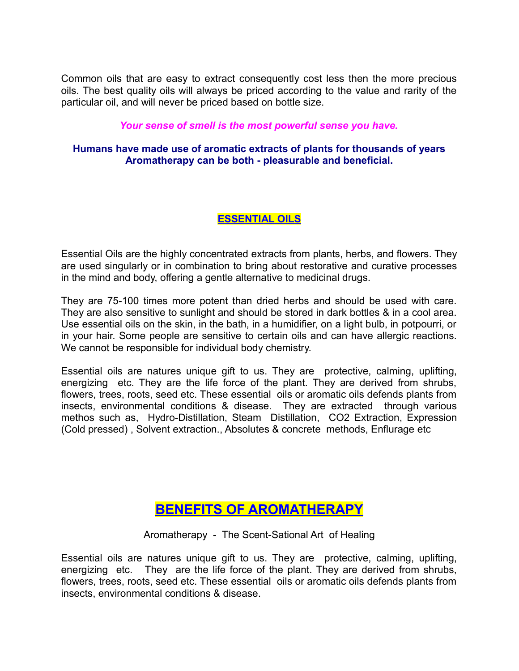Common oils that are easy to extract consequently cost less then the more precious oils. The best quality oils will always be priced according to the value and rarity of the particular oil, and will never be priced based on bottle size.

### *Your sense of smell is the most powerful sense you have.*

#### **Humans have made use of aromatic extracts of plants for thousands of years Aromatherapy can be both - pleasurable and beneficial.**

### **ESSENTIAL OILS**

Essential Oils are the highly concentrated extracts from plants, herbs, and flowers. They are used singularly or in combination to bring about restorative and curative processes in the mind and body, offering a gentle alternative to medicinal drugs.

They are 75-100 times more potent than dried herbs and should be used with care. They are also sensitive to sunlight and should be stored in dark bottles & in a cool area. Use essential oils on the skin, in the bath, in a humidifier, on a light bulb, in potpourri, or in your hair. Some people are sensitive to certain oils and can have allergic reactions. We cannot be responsible for individual body chemistry.

Essential oils are natures unique gift to us. They are protective, calming, uplifting, energizing etc. They are the life force of the plant. They are derived from shrubs, flowers, trees, roots, seed etc. These essential oils or aromatic oils defends plants from insects, environmental conditions & disease. They are extracted through various methos such as, Hydro-Distillation, Steam Distillation, CO2 Extraction, Expression (Cold pressed) , Solvent extraction., Absolutes & concrete methods, Enflurage etc

## **BENEFITS OF AROMATHERAPY**

Aromatherapy - The Scent-Sational Art of Healing

Essential oils are natures unique gift to us. They are protective, calming, uplifting, energizing etc. They are the life force of the plant. They are derived from shrubs, flowers, trees, roots, seed etc. These essential oils or aromatic oils defends plants from insects, environmental conditions & disease.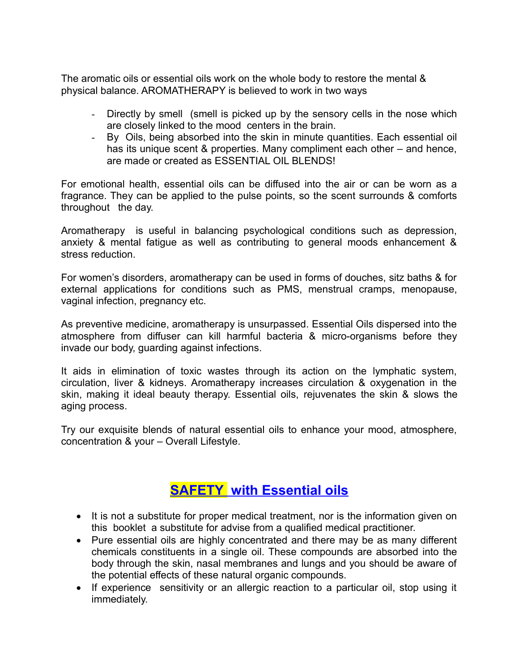The aromatic oils or essential oils work on the whole body to restore the mental & physical balance. AROMATHERAPY is believed to work in two ways

- Directly by smell (smell is picked up by the sensory cells in the nose which are closely linked to the mood centers in the brain.
- By Oils, being absorbed into the skin in minute quantities. Each essential oil has its unique scent & properties. Many compliment each other – and hence, are made or created as ESSENTIAL OIL BLENDS!

For emotional health, essential oils can be diffused into the air or can be worn as a fragrance. They can be applied to the pulse points, so the scent surrounds & comforts throughout the day.

Aromatherapy is useful in balancing psychological conditions such as depression, anxiety & mental fatigue as well as contributing to general moods enhancement & stress reduction.

For women's disorders, aromatherapy can be used in forms of douches, sitz baths & for external applications for conditions such as PMS, menstrual cramps, menopause, vaginal infection, pregnancy etc.

As preventive medicine, aromatherapy is unsurpassed. Essential Oils dispersed into the atmosphere from diffuser can kill harmful bacteria & micro-organisms before they invade our body, guarding against infections.

It aids in elimination of toxic wastes through its action on the lymphatic system, circulation, liver & kidneys. Aromatherapy increases circulation & oxygenation in the skin, making it ideal beauty therapy. Essential oils, rejuvenates the skin & slows the aging process.

Try our exquisite blends of natural essential oils to enhance your mood, atmosphere, concentration & your – Overall Lifestyle.

## **SAFETY with Essential oils**

- It is not a substitute for proper medical treatment, nor is the information given on this booklet a substitute for advise from a qualified medical practitioner.
- Pure essential oils are highly concentrated and there may be as many different chemicals constituents in a single oil. These compounds are absorbed into the body through the skin, nasal membranes and lungs and you should be aware of the potential effects of these natural organic compounds.
- If experience sensitivity or an allergic reaction to a particular oil, stop using it immediately.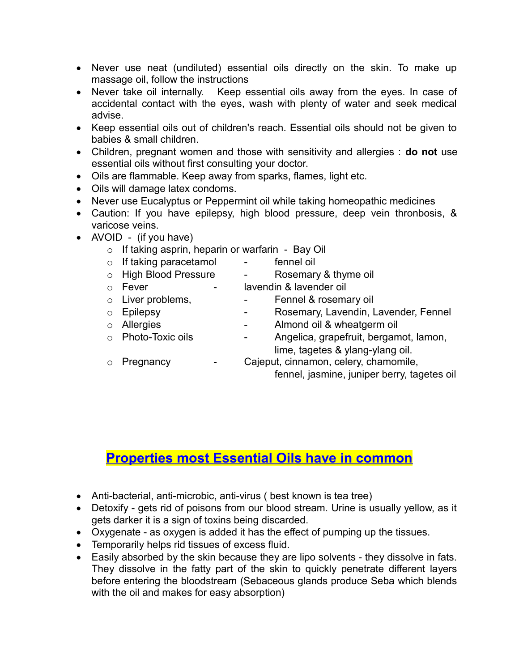- Never use neat (undiluted) essential oils directly on the skin. To make up massage oil, follow the instructions
- Never take oil internally. Keep essential oils away from the eyes. In case of accidental contact with the eyes, wash with plenty of water and seek medical advise.
- Keep essential oils out of children's reach. Essential oils should not be given to babies & small children.
- Children, pregnant women and those with sensitivity and allergies : **do not** use essential oils without first consulting your doctor.
- Oils are flammable. Keep away from sparks, flames, light etc.
- Oils will damage latex condoms.
- Never use Eucalyptus or Peppermint oil while taking homeopathic medicines
- Caution: If you have epilepsy, high blood pressure, deep vein thronbosis, & varicose veins.
- AVOID (if you have)
	- $\circ$  If taking asprin, heparin or warfarin Bay Oil
	- o If taking paracetamol fennel oil
	- o High Blood Pressure Rosemary & thyme oil
	-
	- o Fever lavendin & lavender oil
	- o Liver problems, The Stephen Bennel & rosemary oil
	-
	- o Epilepsy  **Rosemary, Lavendin, Lavender, Fennel**
	- o Allergies **-** Almond oil & wheatgerm oil
	-
	- o Photo-Toxic oils Angelica, grapefruit, bergamot, lamon, lime, tagetes & ylang-ylang oil.
	-
	- o Pregnancy Cajeput, cinnamon, celery, chamomile, fennel, jasmine, juniper berry, tagetes oil

# **Properties most Essential Oils have in common**

- Anti-bacterial, anti-microbic, anti-virus ( best known is tea tree)
- Detoxify gets rid of poisons from our blood stream. Urine is usually yellow, as it gets darker it is a sign of toxins being discarded.
- Oxygenate as oxygen is added it has the effect of pumping up the tissues.
- Temporarily helps rid tissues of excess fluid.
- Easily absorbed by the skin because they are lipo solvents they dissolve in fats. They dissolve in the fatty part of the skin to quickly penetrate different layers before entering the bloodstream (Sebaceous glands produce Seba which blends with the oil and makes for easy absorption)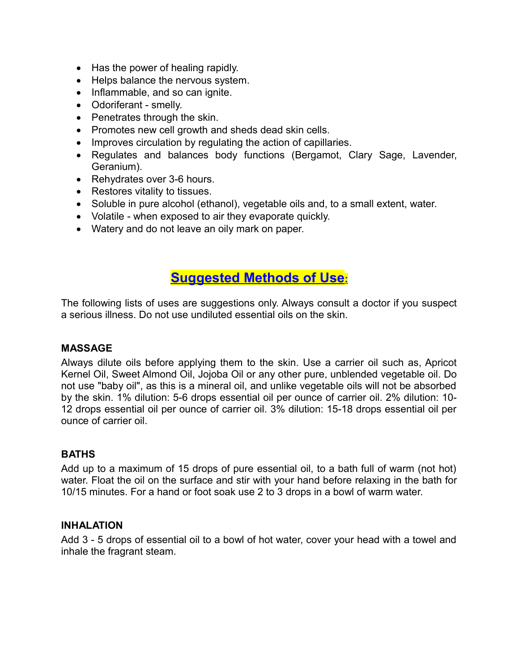- Has the power of healing rapidly.
- Helps balance the nervous system.
- Inflammable, and so can ignite.
- Odoriferant smelly.
- Penetrates through the skin.
- Promotes new cell growth and sheds dead skin cells.
- Improves circulation by regulating the action of capillaries.
- Regulates and balances body functions (Bergamot, Clary Sage, Lavender, Geranium).
- Rehydrates over 3-6 hours.
- Restores vitality to tissues.
- Soluble in pure alcohol (ethanol), vegetable oils and, to a small extent, water.
- Volatile when exposed to air they evaporate quickly.
- Watery and do not leave an oily mark on paper.

### **Suggested Methods of Use:**

The following lists of uses are suggestions only. Always consult a doctor if you suspect a serious illness. Do not use undiluted essential oils on the skin.

### **MASSAGE**

Always dilute oils before applying them to the skin. Use a carrier oil such as, Apricot Kernel Oil, Sweet Almond Oil, Jojoba Oil or any other pure, unblended vegetable oil. Do not use "baby oil", as this is a mineral oil, and unlike vegetable oils will not be absorbed by the skin. 1% dilution: 5-6 drops essential oil per ounce of carrier oil. 2% dilution: 10- 12 drops essential oil per ounce of carrier oil. 3% dilution: 15-18 drops essential oil per ounce of carrier oil.

### **BATHS**

Add up to a maximum of 15 drops of pure essential oil, to a bath full of warm (not hot) water. Float the oil on the surface and stir with your hand before relaxing in the bath for 10/15 minutes. For a hand or foot soak use 2 to 3 drops in a bowl of warm water.

### **INHALATION**

Add 3 - 5 drops of essential oil to a bowl of hot water, cover your head with a towel and inhale the fragrant steam.